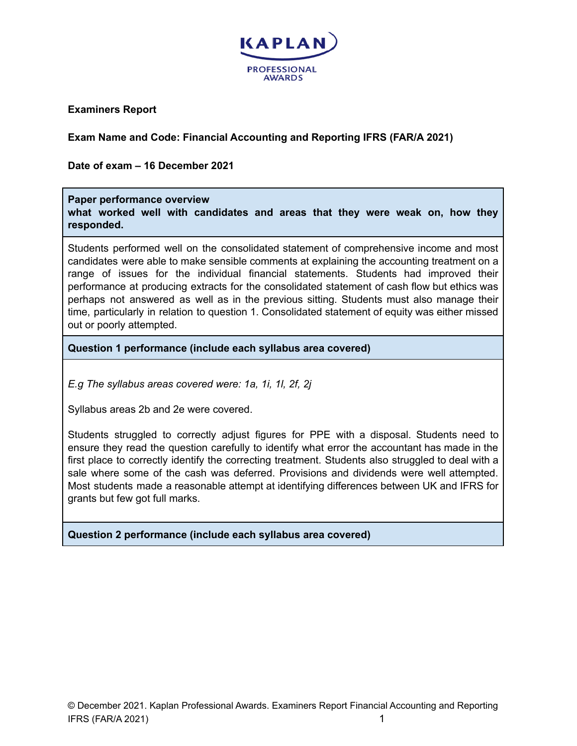

**Examiners Report**

**Exam Name and Code: Financial Accounting and Reporting IFRS (FAR/A 2021)**

**Date of exam – 16 December 2021**

## **Paper performance overview**

**what worked well with candidates and areas that they were weak on, how they responded.**

Students performed well on the consolidated statement of comprehensive income and most candidates were able to make sensible comments at explaining the accounting treatment on a range of issues for the individual financial statements. Students had improved their performance at producing extracts for the consolidated statement of cash flow but ethics was perhaps not answered as well as in the previous sitting. Students must also manage their time, particularly in relation to question 1. Consolidated statement of equity was either missed out or poorly attempted.

**Question 1 performance (include each syllabus area covered)**

*E.g The syllabus areas covered were: 1a, 1i, 1l, 2f, 2j*

Syllabus areas 2b and 2e were covered.

Students struggled to correctly adjust figures for PPE with a disposal. Students need to ensure they read the question carefully to identify what error the accountant has made in the first place to correctly identify the correcting treatment. Students also struggled to deal with a sale where some of the cash was deferred. Provisions and dividends were well attempted. Most students made a reasonable attempt at identifying differences between UK and IFRS for grants but few got full marks.

**Question 2 performance (include each syllabus area covered)**